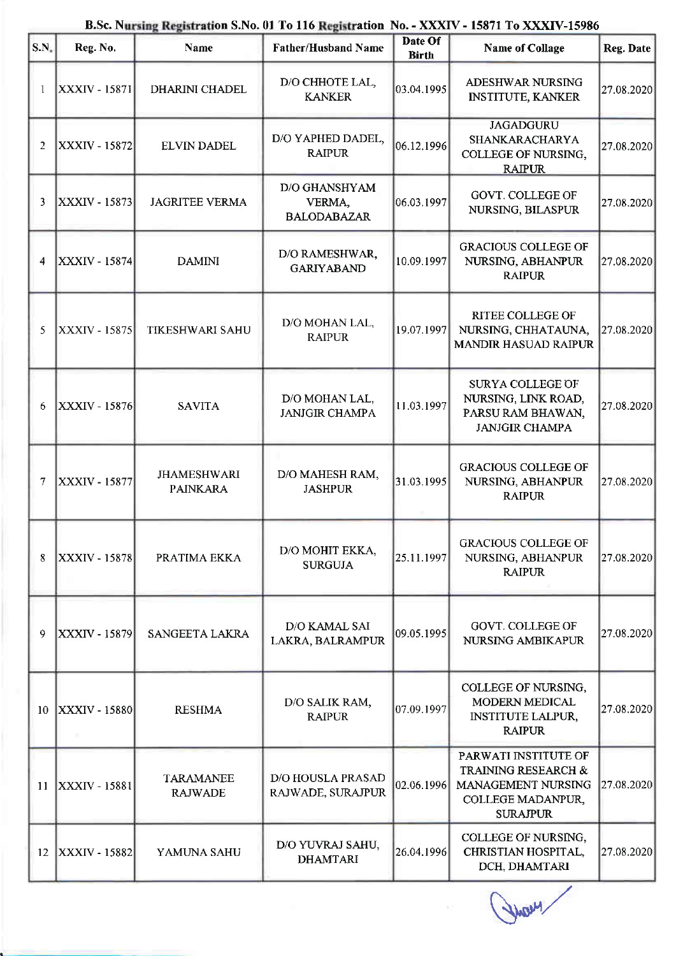| S.N.            | Reg. No.             | <b>Name</b>                           | <b>Father/Husband Name</b>                    | Date Of<br><b>Birth</b> | <b>Name of Collage</b>                                                                                    | Reg. Date  |
|-----------------|----------------------|---------------------------------------|-----------------------------------------------|-------------------------|-----------------------------------------------------------------------------------------------------------|------------|
|                 | XXXIV - 15871        | <b>DHARINI CHADEL</b>                 | D/O CHHOTE LAL,<br><b>KANKER</b>              | 03.04.1995              | ADESHWAR NURSING<br><b>INSTITUTE, KANKER</b>                                                              | 27.08.2020 |
| $\overline{2}$  | <b>XXXIV - 15872</b> | <b>ELVIN DADEL</b>                    | D/O YAPHED DADEL,<br><b>RAIPUR</b>            | 06.12.1996              | <b>JAGADGURU</b><br>SHANKARACHARYA<br>COLLEGE OF NURSING,<br><b>RAIPUR</b>                                | 27.08.2020 |
| 3               | XXXIV - 15873        | <b>JAGRITEE VERMA</b>                 | D/O GHANSHYAM<br>VERMA,<br><b>BALODABAZAR</b> | 06.03.1997              | <b>GOVT. COLLEGE OF</b><br>NURSING, BILASPUR                                                              | 27.08.2020 |
| 4               | <b>XXXIV - 15874</b> | <b>DAMINI</b>                         | D/O RAMESHWAR,<br><b>GARIYABAND</b>           | 10.09.1997              | <b>GRACIOUS COLLEGE OF</b><br>NURSING, ABHANPUR<br><b>RAIPUR</b>                                          | 27.08.2020 |
| 5               | <b>XXXIV - 15875</b> | <b>TIKESHWARI SAHU</b>                | D/O MOHAN LAL,<br><b>RAIPUR</b>               | 19.07.1997              | <b>RITEE COLLEGE OF</b><br>NURSING, CHHATAUNA,<br><b>MANDIR HASUAD RAIPUR</b>                             | 27.08.2020 |
| 6               | XXXIV - 15876        | <b>SAVITA</b>                         | D/O MOHAN LAL,<br><b>JANJGIR CHAMPA</b>       | 11.03.1997              | SURYA COLLEGE OF<br>NURSING, LINK ROAD,<br>PARSU RAM BHAWAN,<br><b>JANJGIR CHAMPA</b>                     | 27.08.2020 |
| 7               | XXXIV - 15877        | <b>JHAMESHWARI</b><br><b>PAINKARA</b> | D/O MAHESH RAM,<br><b>JASHPUR</b>             | 31.03.1995              | <b>GRACIOUS COLLEGE OF</b><br>NURSING, ABHANPUR<br><b>RAIPUR</b>                                          | 27.08.2020 |
| 8               | XXXIV - 15878        | PRATIMA EKKA                          | D/O MOHIT EKKA,<br><b>SURGUJA</b>             | 25.11.1997              | <b>GRACIOUS COLLEGE OF</b><br>NURSING, ABHANPUR<br><b>RAIPUR</b>                                          | 27.08.2020 |
| 9               | XXXIV - 15879        | SANGEETA LAKRA                        | D/O KAMAL SAI<br>LAKRA, BALRAMPUR             | 09.05.1995              | <b>GOVT. COLLEGE OF</b><br>NURSING AMBIKAPUR                                                              | 27.08.2020 |
| 10 <sup>°</sup> | <b>XXXIV - 15880</b> | <b>RESHMA</b>                         | D/O SALIK RAM,<br><b>RAIPUR</b>               | 07.09.1997              | COLLEGE OF NURSING,<br>MODERN MEDICAL<br><b>INSTITUTE LALPUR,</b><br><b>RAIPUR</b>                        | 27.08.2020 |
| 11              | <b>XXXIV - 15881</b> | <b>TARAMANEE</b><br><b>RAJWADE</b>    | <b>D/O HOUSLA PRASAD</b><br>RAJWADE, SURAJPUR | 02.06.1996              | PARWATI INSTITUTE OF<br>TRAINING RESEARCH &<br>MANAGEMENT NURSING<br>COLLEGE MADANPUR,<br><b>SURAJPUR</b> | 27.08.2020 |
| 12              | <b>XXXIV - 15882</b> | YAMUNA SAHU                           | D/O YUVRAJ SAHU,<br><b>DHAMTARI</b>           | 26.04.1996              | COLLEGE OF NURSING,<br>CHRISTIAN HOSPITAL,<br>DCH, DHAMTARI                                               | 27.08.2020 |

## B.Sc. Nursing Registration S.No. 01 To 116 Registration No. - XXXIV - 15871 To XXXIV-15986

How !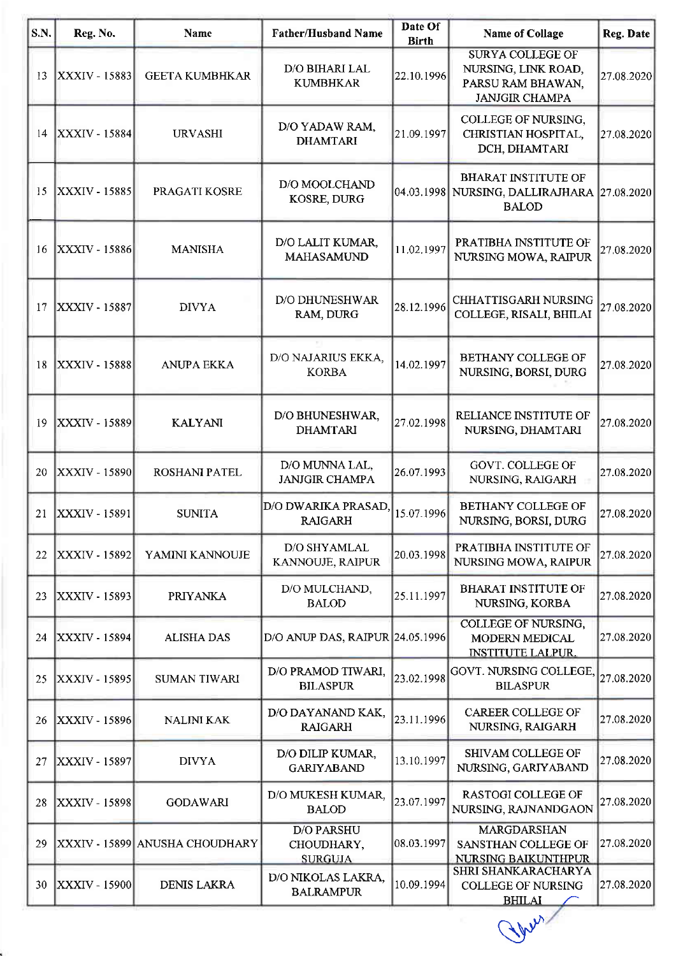| S.N. | Reg. No.             | <b>Name</b>                     | <b>Father/Husband Name</b>                        | Date Of<br><b>Birth</b> | <b>Name of Collage</b>                                                                       | <b>Reg. Date</b> |
|------|----------------------|---------------------------------|---------------------------------------------------|-------------------------|----------------------------------------------------------------------------------------------|------------------|
| 13   | XXXIV - 15883        | <b>GEETA KUMBHKAR</b>           | D/O BIHARI LAL<br><b>KUMBHKAR</b>                 | 22.10.1996              | <b>SURYA COLLEGE OF</b><br>NURSING, LINK ROAD,<br>PARSU RAM BHAWAN,<br><b>JANJGIR CHAMPA</b> | 27.08.2020       |
| 14   | $ XXXIV - 15884 $    | <b>URVASHI</b>                  | D/O YADAW RAM,<br><b>DHAMTARI</b>                 | 21.09.1997              | COLLEGE OF NURSING,<br>CHRISTIAN HOSPITAL,<br>DCH, DHAMTARI                                  | 27.08.2020       |
| 15   | XXXIV - 15885        | PRAGATI KOSRE                   | D/O MOOLCHAND<br>KOSRE, DURG                      |                         | <b>BHARAT INSTITUTE OF</b><br>04.03.1998 NURSING, DALLIRAJHARA 27.08.2020<br><b>BALOD</b>    |                  |
| 16   | <b>XXXIV - 15886</b> | <b>MANISHA</b>                  | D/O LALIT KUMAR,<br><b>MAHASAMUND</b>             | 11.02.1997              | PRATIBHA INSTITUTE OF<br>NURSING MOWA, RAIPUR                                                | 27.08.2020       |
| 17   | <b>XXXIV - 15887</b> | <b>DIVYA</b>                    | <b>D/O DHUNESHWAR</b><br>RAM, DURG                | 28.12.1996              | CHHATTISGARH NURSING<br>COLLEGE, RISALI, BHILAI                                              | 27.08.2020       |
| 18   | <b>XXXIV - 15888</b> | <b>ANUPA EKKA</b>               | D/O NAJARIUS EKKA,<br><b>KORBA</b>                | 14.02.1997              | BETHANY COLLEGE OF<br>NURSING, BORSI, DURG                                                   | 27.08.2020       |
| 19   | <b>XXXIV - 15889</b> | <b>KALYANI</b>                  | D/O BHUNESHWAR,<br><b>DHAMTARI</b>                | 27.02.1998              | RELIANCE INSTITUTE OF<br>NURSING, DHAMTARI                                                   | 27.08.2020       |
| 20   | <b>XXXIV - 15890</b> | ROSHANI PATEL                   | D/O MUNNA LAL,<br><b>JANJGIR CHAMPA</b>           | 26.07.1993              | <b>GOVT. COLLEGE OF</b><br>NURSING, RAIGARH                                                  | 27.08.2020       |
| 21   | $ XXXIV - 15891 $    | <b>SUNITA</b>                   | D/O DWARIKA PRASAD,<br><b>RAIGARH</b>             | 15.07.1996              | <b>BETHANY COLLEGE OF</b><br>NURSING, BORSI, DURG                                            | 27.08.2020       |
| 22   | XXXIV - 15892        | YAMINI KANNOUJE                 | D/O SHYAMLAL<br>KANNOUJE, RAIPUR                  | 20.03.1998              | PRATIBHA INSTITUTE OF<br>NURSING MOWA, RAIPUR                                                | 27.08.2020       |
| 23   | XXXIV - 15893        | <b>PRIYANKA</b>                 | D/O MULCHAND,<br><b>BALOD</b>                     | 25.11.1997              | <b>BHARAT INSTITUTE OF</b><br>NURSING, KORBA                                                 | 27.08.2020       |
| 24   | <b>XXXIV - 15894</b> | <b>ALISHA DAS</b>               | D/O ANUP DAS, RAIPUR 24.05.1996                   |                         | <b>COLLEGE OF NURSING,</b><br>MODERN MEDICAL<br><b>INSTITUTE LALPUR.</b>                     | 27.08.2020       |
| 25   | XXXIV - 15895        | <b>SUMAN TIWARI</b>             | D/O PRAMOD TIWARI,<br><b>BILASPUR</b>             | 23.02.1998              | GOVT. NURSING COLLEGE.<br><b>BILASPUR</b>                                                    | 27.08.2020       |
| 26   | XXXIV - 15896        | <b>NALINI KAK</b>               | D/O DAYANAND KAK,<br><b>RAIGARH</b>               | 23.11.1996              | <b>CAREER COLLEGE OF</b><br>NURSING, RAIGARH                                                 | 27.08.2020       |
| 27   | XXXIV - 15897        | <b>DIVYA</b>                    | D/O DILIP KUMAR,<br><b>GARIYABAND</b>             | 13.10.1997              | <b>SHIVAM COLLEGE OF</b><br>NURSING, GARIYABAND                                              | 27.08.2020       |
| 28   | XXXIV - 15898        | <b>GODAWARI</b>                 | D/O MUKESH KUMAR,<br><b>BALOD</b>                 | 23.07.1997              | RASTOGI COLLEGE OF<br>NURSING, RAJNANDGAON                                                   | 27.08.2020       |
| 29   |                      | XXXIV - 15899  ANUSHA CHOUDHARY | <b>D/O PARSHU</b><br>CHOUDHARY,<br><b>SURGUJA</b> | 08.03.1997              | MARGDARSHAN<br>SANSTHAN COLLEGE OF<br>NURSING BAIKUNTHPUR                                    | 27.08.2020       |
| 30   | <b>XXXIV - 15900</b> | <b>DENIS LAKRA</b>              | D/O NIKOLAS LAKRA,<br><b>BALRAMPUR</b>            | 10.09.1994              | SHRI SHANKARACHARYA<br><b>COLLEGE OF NURSING</b><br><b>BHILAI</b>                            | 27.08.2020       |

Why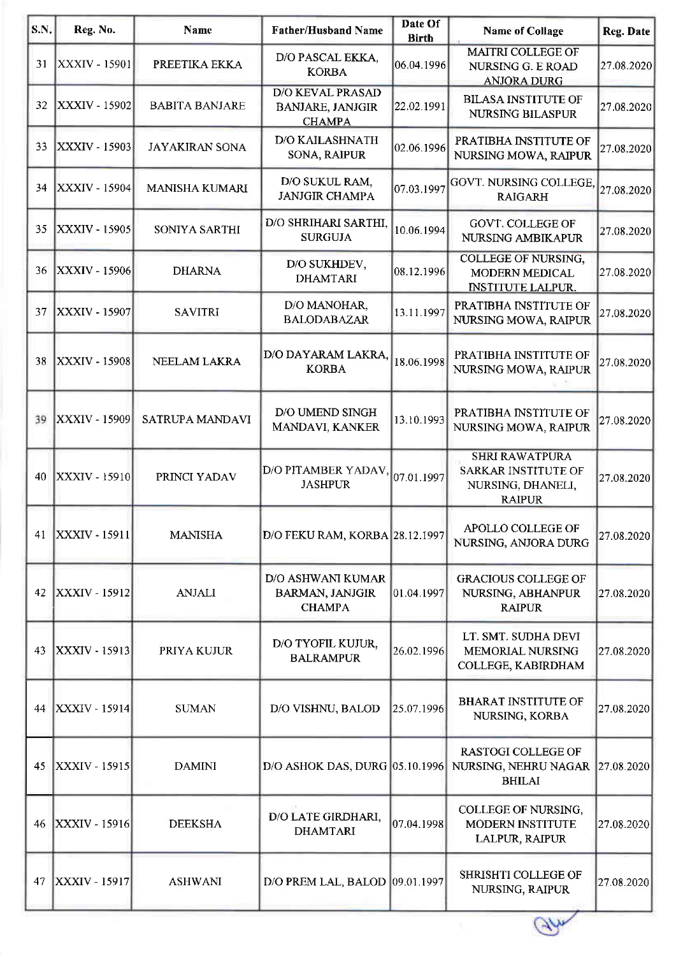| <b>S.N.</b> | Reg. No.                      | Name                  | <b>Father/Husband Name</b>                                          | Date Of<br><b>Birth</b> | <b>Name of Collage</b>                                                                    | Reg. Date  |
|-------------|-------------------------------|-----------------------|---------------------------------------------------------------------|-------------------------|-------------------------------------------------------------------------------------------|------------|
| 31          | <b>XXXIV - 15901</b>          | PREETIKA EKKA         | D/O PASCAL EKKA,<br><b>KORBA</b>                                    | 06.04.1996              | <b>MAITRI COLLEGE OF</b><br>NURSING G. E ROAD<br><b>ANJORA DURG</b>                       | 27.08.2020 |
| 32          | XXXIV - 15902                 | <b>BABITA BANJARE</b> | <b>D/O KEVAL PRASAD</b><br><b>BANJARE, JANJGIR</b><br><b>CHAMPA</b> | 22.02.1991              | <b>BILASA INSTITUTE OF</b><br><b>NURSING BILASPUR</b>                                     | 27.08.2020 |
| 33          | XXXIV - 15903                 | <b>JAYAKIRAN SONA</b> | <b>D/O KAILASHNATH</b><br>SONA, RAIPUR                              | 02.06.1996              | PRATIBHA INSTITUTE OF<br>NURSING MOWA, RAIPUR                                             | 27.08.2020 |
| 34          | <b>XXXIV - 15904</b>          | MANISHA KUMARI        | D/O SUKUL RAM,<br><b>JANJGIR CHAMPA</b>                             | 07.03.1997              | <b>GOVT. NURSING COLLEGE,</b><br><b>RAIGARH</b>                                           | 27.08.2020 |
| 35          | XXXIV - 15905                 | SONIYA SARTHI         | D/O SHRIHARI SARTHI,<br><b>SURGUJA</b>                              | 10.06.1994              | <b>GOVT. COLLEGE OF</b><br>NURSING AMBIKAPUR                                              | 27.08.2020 |
| 36          | <b>XXXIV - 15906</b>          | <b>DHARNA</b>         | D/O SUKHDEV,<br><b>DHAMTARI</b>                                     | 08.12.1996              | COLLEGE OF NURSING,<br>MODERN MEDICAL<br><b>INSTITUTE LALPUR.</b>                         | 27.08.2020 |
| 37          | XXXIV - 15907                 | <b>SAVITRI</b>        | D/O MANOHAR,<br><b>BALODABAZAR</b>                                  | 13.11.1997              | PRATIBHA INSTITUTE OF<br>NURSING MOWA, RAIPUR                                             | 27.08.2020 |
| 38          | <b>XXXIV - 15908</b>          | NEELAM LAKRA          | D/O DAYARAM LAKRA,<br><b>KORBA</b>                                  | 18.06.1998              | PRATIBHA INSTITUTE OF<br>NURSING MOWA, RAIPUR                                             | 27.08.2020 |
| 39          | XXXIV - 15909                 | SATRUPA MANDAVI       | D/O UMEND SINGH<br>MANDAVI, KANKER                                  | 13.10.1993              | PRATIBHA INSTITUTE OF<br>NURSING MOWA, RAIPUR                                             | 27.08.2020 |
| 40          | <b>XXXIV - 15910</b>          | PRINCI YADAV          | D/O PITAMBER YADAV,<br><b>JASHPUR</b>                               | [07.01.1997]            | <b>SHRI RAWATPURA</b><br><b>SARKAR INSTITUTE OF</b><br>NURSING, DHANELI,<br><b>RAIPUR</b> | 27.08.2020 |
| 41          | $\vert$ XXXIV - 15911 $\vert$ | <b>MANISHA</b>        | D/O FEKU RAM, KORBA 28.12.1997                                      |                         | APOLLO COLLEGE OF<br>NURSING, ANJORA DURG                                                 | 27.08.2020 |
| 42          | <b>XXXIV - 15912</b>          | <b>ANJALI</b>         | D/O ASHWANI KUMAR<br><b>BARMAN, JANJGIR</b><br><b>CHAMPA</b>        | 01.04.1997              | <b>GRACIOUS COLLEGE OF</b><br>NURSING, ABHANPUR<br><b>RAIPUR</b>                          | 27.08.2020 |
| 43          | XXXIV - 15913                 | PRIYA KUJUR           | D/O TYOFIL KUJUR,<br><b>BALRAMPUR</b>                               | 26.02.1996              | LT. SMT. SUDHA DEVI<br><b>MEMORIAL NURSING</b><br>COLLEGE, KABIRDHAM                      | 27.08.2020 |
| 44          | <b>XXXIV - 15914</b>          | <b>SUMAN</b>          | D/O VISHNU, BALOD                                                   | 25.07.1996              | <b>BHARAT INSTITUTE OF</b><br>NURSING, KORBA                                              | 27.08.2020 |
| 45          | XXXIV - 15915                 | <b>DAMINI</b>         | D/O ASHOK DAS, DURG 05.10.1996                                      |                         | <b>RASTOGI COLLEGE OF</b><br>NURSING, NEHRU NAGAR<br><b>BHILAI</b>                        | 27.08.2020 |
| 46          | <b>XXXIV - 15916</b>          | <b>DEEKSHA</b>        | D/O LATE GIRDHARI,<br><b>DHAMTARI</b>                               | 07.04.1998              | COLLEGE OF NURSING,<br><b>MODERN INSTITUTE</b><br>LALPUR, RAIPUR                          | 27.08.2020 |
| 47          | XXXIV - 15917                 | <b>ASHWANI</b>        | D/O PREM LAL, BALOD 09.01.1997                                      |                         | SHRISHTI COLLEGE OF<br>NURSING, RAIPUR                                                    | 27.08.2020 |
|             |                               |                       |                                                                     |                         |                                                                                           |            |

Gly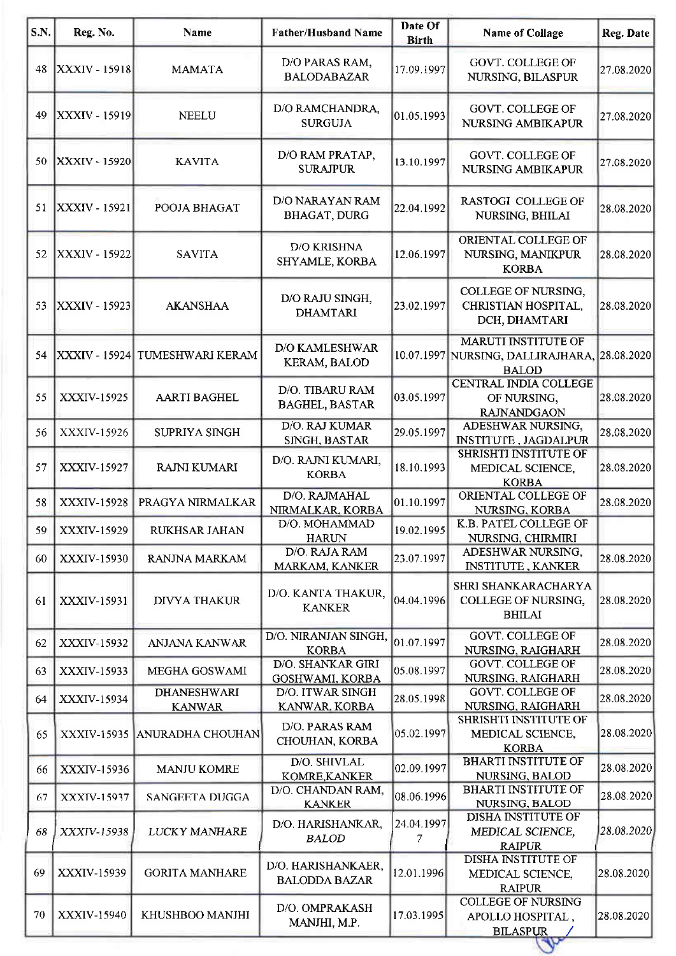| <b>S.N.</b> | Reg. No.             | <b>Name</b>                         | <b>Father/Husband Name</b>                   | Date Of<br><b>Birth</b> | <b>Name of Collage</b>                                                                     | <b>Reg. Date</b> |
|-------------|----------------------|-------------------------------------|----------------------------------------------|-------------------------|--------------------------------------------------------------------------------------------|------------------|
| 48          | XXXIV - 15918        | <b>MAMATA</b>                       | D/O PARAS RAM,<br><b>BALODABAZAR</b>         | 17.09.1997              | <b>GOVT. COLLEGE OF</b><br>NURSING, BILASPUR                                               | 27.08.2020       |
| 49          | <b>XXXIV - 15919</b> | <b>NEELU</b>                        | D/O RAMCHANDRA,<br><b>SURGUJA</b>            | 01.05.1993              | <b>GOVT. COLLEGE OF</b><br>NURSING AMBIKAPUR                                               | 27.08.2020       |
| 50          | XXXIV - 15920        | <b>KAVITA</b>                       | D/O RAM PRATAP,<br><b>SURAJPUR</b>           | 13.10.1997              | GOVT. COLLEGE OF<br>NURSING AMBIKAPUR                                                      | 27.08.2020       |
| 51          | <b>XXXIV - 15921</b> | POOJA BHAGAT                        | D/O NARAYAN RAM<br><b>BHAGAT, DURG</b>       | 22.04.1992              | RASTOGI COLLEGE OF<br>NURSING, BHILAI                                                      | 28.08.2020       |
| 52          | XXXIV - 15922        | <b>SAVITA</b>                       | D/O KRISHNA<br>SHYAMLE, KORBA                | 12.06.1997              | ORIENTAL COLLEGE OF<br>NURSING, MANIKPUR<br><b>KORBA</b>                                   | 28.08.2020       |
| 53          | <b>XXXIV - 15923</b> | <b>AKANSHAA</b>                     | D/O RAJU SINGH,<br><b>DHAMTARI</b>           | 23.02.1997              | <b>COLLEGE OF NURSING,</b><br>CHRISTIAN HOSPITAL,<br>DCH, DHAMTARI                         | 28.08.2020       |
| 54          |                      | XXXIV - 15924 TUMESHWARI KERAM      | <b>D/O KAMLESHWAR</b><br><b>KERAM, BALOD</b> |                         | <b>MARUTI INSTITUTE OF</b><br>10.07.1997 NURSING, DALLIRAJHARA, 28.08.2020<br><b>BALOD</b> |                  |
| 55          | XXXIV-15925          | <b>AARTI BAGHEL</b>                 | D/O. TIBARU RAM<br><b>BAGHEL, BASTAR</b>     | 03.05.1997              | CENTRAL INDIA COLLEGE<br>OF NURSING,<br><b>RAJNANDGAON</b>                                 | 28.08.2020       |
| 56          | XXXIV-15926          | SUPRIYA SINGH                       | <b>D/O. RAJ KUMAR</b><br>SINGH, BASTAR       | 29.05.1997              | ADESHWAR NURSING,<br><b>INSTITUTE, JAGDALPUR</b>                                           | 28.08.2020       |
| 57          | XXXIV-15927          | RAJNI KUMARI                        | D/O. RAJNI KUMARI,<br><b>KORBA</b>           | 18.10.1993              | SHRISHTI INSTITUTE OF<br>MEDICAL SCIENCE,<br><b>KORBA</b>                                  | 28.08.2020       |
| 58          | XXXIV-15928          | PRAGYA NIRMALKAR                    | D/O. RAJMAHAL<br>NIRMALKAR, KORBA            | 01.10.1997              | ORIENTAL COLLEGE OF<br>NURSING, KORBA                                                      | 28.08.2020       |
| 59          | XXXIV-15929          | RUKHSAR JAHAN                       | D/O. MOHAMMAD<br><b>HARUN</b>                | 19.02.1995              | K.B. PATEL COLLEGE OF<br>NURSING, CHIRMIRI                                                 |                  |
| 60          | XXXIV-15930          | RANJNA MARKAM                       | D/O. RAJA RAM<br>MARKAM, KANKER              | 23.07.1997              | ADESHWAR NURSING,<br><b>INSTITUTE, KANKER</b>                                              | 28.08.2020       |
| 61          | XXXIV-15931          | <b>DIVYA THAKUR</b>                 | D/O. KANTA THAKUR,<br><b>KANKER</b>          | 04.04.1996              | SHRI SHANKARACHARYA<br>COLLEGE OF NURSING,<br><b>BHILAI</b>                                | 28.08.2020       |
| 62          | XXXIV-15932          | ANJANA KANWAR                       | D/O. NIRANJAN SINGH,<br><b>KORBA</b>         | 01.07.1997              | <b>GOVT. COLLEGE OF</b><br>NURSING, RAIGHARH                                               | 28.08.2020       |
| 63          | XXXIV-15933          | MEGHA GOSWAMI                       | D/O. SHANKAR GIRI<br>GOSHWAMI, KORBA         | 05.08.1997              | <b>GOVT. COLLEGE OF</b><br>NURSING, RAIGHARH                                               | 28.08.2020       |
| 64          | XXXIV-15934          | <b>DHANESHWARI</b><br><b>KANWAR</b> | D/O. ITWAR SINGH<br>KANWAR, KORBA            | 28.05.1998              | <b>GOVT. COLLEGE OF</b><br>NURSING, RAIGHARH                                               | 28.08.2020       |
| 65          | XXXIV-15935          | <b>ANURADHA CHOUHAN</b>             | D/O. PARAS RAM<br>CHOUHAN, KORBA             | 05.02.1997              | <b>SHRISHTI INSTITUTE OF</b><br>MEDICAL SCIENCE,<br><b>KORBA</b>                           | 28.08.2020       |
| 66          | XXXIV-15936          | <b>MANJU KOMRE</b>                  | D/O. SHIVLAL<br>KOMRE, KANKER                | 02.09.1997              | <b>BHARTI INSTITUTE OF</b><br>NURSING, BALOD                                               | 28.08.2020       |
| 67          | XXXIV-15937          | SANGEETA DUGGA                      | D/O. CHANDAN RAM,<br><b>KANKER</b>           | 08.06.1996              | <b>BHARTI INSTITUTE OF</b><br>NURSING, BALOD                                               | 28.08.2020       |
| 68          | XXXIV-15938          | <b>LUCKY MANHARE</b>                | D/O. HARISHANKAR,<br><b>BALOD</b>            | 24.04.1997<br>7         | DISHA INSTITUTE OF<br>MEDICAL SCIENCE,<br><b>RAIPUR</b>                                    | 28.08.2020       |
| 69          | XXXIV-15939          | <b>GORITA MANHARE</b>               | D/O. HARISHANKAER,<br><b>BALODDA BAZAR</b>   | 12.01.1996              | DISHA INSTITUTE OF<br>MEDICAL SCIENCE,<br><b>RAIPUR</b>                                    | 28.08.2020       |
| 70          | XXXIV-15940          | KHUSHBOO MANJHI                     | D/O. OMPRAKASH<br>MANJHI, M.P.               | 17.03.1995              | <b>COLLEGE OF NURSING</b><br>APOLLO HOSPITAL,<br><b>BILASPUR</b>                           | 28.08.2020       |
|             |                      |                                     |                                              |                         |                                                                                            |                  |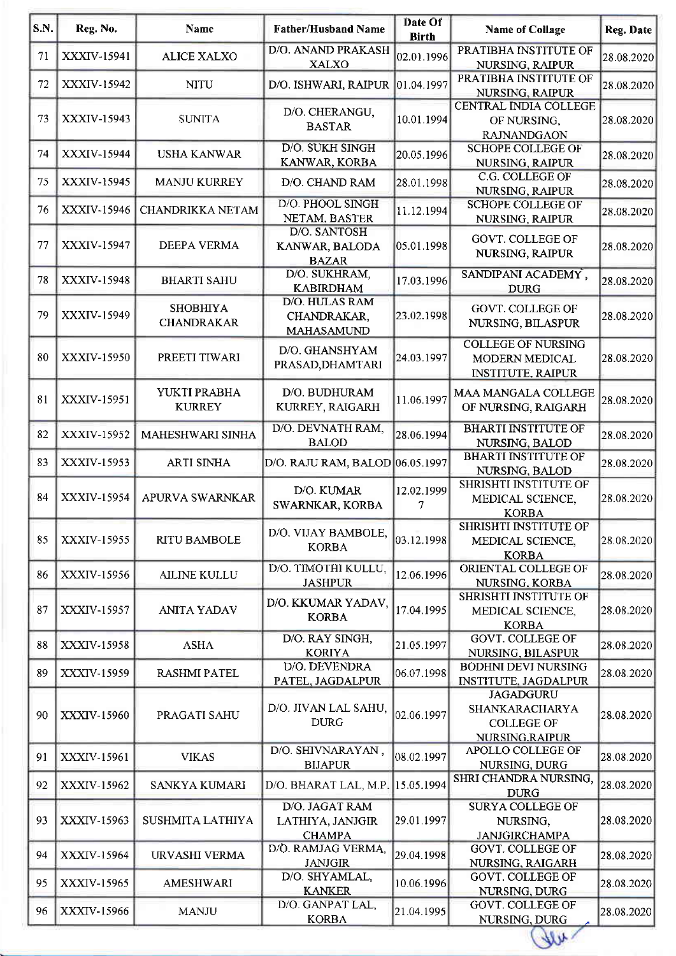| S.N. | Reg. No.           | <b>Name</b>                          | <b>Father/Husband Name</b>                          | Date Of<br><b>Birth</b> | <b>Name of Collage</b>                                                    | Reg. Date  |
|------|--------------------|--------------------------------------|-----------------------------------------------------|-------------------------|---------------------------------------------------------------------------|------------|
| 71   | XXXIV-15941        | <b>ALICE XALXO</b>                   | D/O. ANAND PRAKASH<br><b>XALXO</b>                  | 02.01.1996              | PRATIBHA INSTITUTE OF<br>NURSING, RAIPUR                                  | 28.08.2020 |
| 72   | XXXIV-15942        | <b>NITU</b>                          | D/O. ISHWARI, RAIPUR                                | 01.04.1997              | PRATIBHA INSTITUTE OF<br>NURSING, RAIPUR                                  | 28.08.2020 |
| 73   | XXXIV-15943        | <b>SUNITA</b>                        | D/O. CHERANGU,<br><b>BASTAR</b>                     | 10.01.1994              | CENTRAL INDIA COLLEGE<br>OF NURSING,<br><b>RAJNANDGAON</b>                | 28.08.2020 |
| 74   | XXXIV-15944        | <b>USHA KANWAR</b>                   | <b>D/O. SUKH SINGH</b><br>KANWAR, KORBA             | 20.05.1996              | <b>SCHOPE COLLEGE OF</b><br><b>NURSING, RAIPUR</b>                        | 28.08.2020 |
| 75   | XXXIV-15945        | <b>MANJU KURREY</b>                  | D/O. CHAND RAM                                      | 28.01.1998              | C.G. COLLEGE OF<br>NURSING, RAIPUR                                        | 28.08.2020 |
| 76   | XXXIV-15946        | CHANDRIKKA NETAM                     | D/O. PHOOL SINGH<br>NETAM, BASTER                   | 11.12.1994              | <b>SCHOPE COLLEGE OF</b><br><b>NURSING, RAIPUR</b>                        | 28.08.2020 |
| 77   | XXXIV-15947        | DEEPA VERMA                          | D/O. SANTOSH<br>KANWAR, BALODA<br><b>BAZAR</b>      | 05.01.1998              | <b>GOVT. COLLEGE OF</b><br>NURSING, RAIPUR                                | 28.08.2020 |
| 78   | XXXIV-15948        | <b>BHARTI SAHU</b>                   | D/O. SUKHRAM,<br><b>KABIRDHAM</b>                   | 17.03.1996              | SANDIPANI ACADEMY,<br><b>DURG</b>                                         | 28.08.2020 |
| 79   | XXXIV-15949        | <b>SHOBHIYA</b><br><b>CHANDRAKAR</b> | D/O. HULAS RAM<br>CHANDRAKAR,<br><b>MAHASAMUND</b>  | 23.02.1998              | GOVT. COLLEGE OF<br>NURSING, BILASPUR                                     | 28.08.2020 |
| 80   | XXXIV-15950        | PREETI TIWARI                        | D/O. GHANSHYAM<br>PRASAD, DHAMTARI                  | 24.03.1997              | <b>COLLEGE OF NURSING</b><br>MODERN MEDICAL<br><b>INSTITUTE, RAIPUR</b>   | 28.08.2020 |
| 81   | XXXIV-15951        | YUKTI PRABHA<br><b>KURREY</b>        | D/O. BUDHURAM<br>KURREY, RAIGARH                    | 11.06.1997              | MAA MANGALA COLLEGE<br>OF NURSING, RAIGARH                                | 28.08.2020 |
| 82   | <b>XXXIV-15952</b> | MAHESHWARI SINHA                     | D/O. DEVNATH RAM,<br><b>BALOD</b>                   | 28.06.1994              | <b>BHARTI INSTITUTE OF</b><br>NURSING, BALOD                              | 28.08.2020 |
| 83   | XXXIV-15953        | <b>ARTI SINHA</b>                    | D/O. RAJU RAM, BALOD 06.05.1997                     |                         | <b>BHARTI INSTITUTE OF</b><br>NURSING, BALOD                              | 28.08.2020 |
| 84   | XXXIV-15954        | APURVA SWARNKAR                      | D/O. KUMAR<br>SWARNKAR, KORBA                       | 12.02.1999<br>7         | SHRISHTI INSTITUTE OF<br>MEDICAL SCIENCE,<br><b>KORBA</b>                 | 28.08.2020 |
| 85   | XXXIV-15955        | <b>RITU BAMBOLE</b>                  | D/O. VIJAY BAMBOLE,<br><b>KORBA</b>                 | 03.12.1998              | SHRISHTI INSTITUTE OF<br>MEDICAL SCIENCE,<br><b>KORBA</b>                 | 28.08.2020 |
| 86   | XXXIV-15956        | <b>AILINE KULLU</b>                  | D/O. TIMOTHI KULLU,<br><b>JASHPUR</b>               | 12.06.1996              | ORIENTAL COLLEGE OF<br>NURSING, KORBA                                     | 28.08.2020 |
| 87   | XXXIV-15957        | <b>ANITA YADAV</b>                   | D/O. KKUMAR YADAV,<br><b>KORBA</b>                  | 17.04.1995              | <b>SHRISHTI INSTITUTE OF</b><br>MEDICAL SCIENCE,<br><b>KORBA</b>          | 28.08.2020 |
| 88   | XXXIV-15958        | <b>ASHA</b>                          | D/O. RAY SINGH,<br><b>KORIYA</b>                    | 21.05.1997              | <b>GOVT. COLLEGE OF</b><br>NURSING, BILASPUR                              | 28.08.2020 |
| 89   | XXXIV-15959        | <b>RASHMI PATEL</b>                  | D/O. DEVENDRA<br>PATEL, JAGDALPUR                   | 06.07.1998              | <b>BODHNI DEVI NURSING</b><br><b>INSTITUTE, JAGDALPUR</b>                 | 28.08.2020 |
| 90   | XXXIV-15960        | PRAGATI SAHU                         | D/O. JIVAN LAL SAHU,<br><b>DURG</b>                 | 02.06.1997              | <b>JAGADGURU</b><br>SHANKARACHARYA<br><b>COLLEGE OF</b><br>NURSING.RAIPUR | 28.08.2020 |
| 91   | XXXIV-15961        | <b>VIKAS</b>                         | D/O. SHIVNARAYAN,<br><b>BIJAPUR</b>                 | 08.02.1997              | APOLLO COLLEGE OF<br>NURSING, DURG                                        | 28.08.2020 |
| 92   | XXXIV-15962        | SANKYA KUMARI                        | D/O. BHARAT LAL, M.P.                               | 15.05.1994              | SHRI CHANDRA NURSING,<br><b>DURG</b>                                      | 28.08.2020 |
| 93   | XXXIV-15963        | SUSHMITA LATHIYA                     | D/O. JAGAT RAM<br>LATHIYA, JANJGIR<br><b>CHAMPA</b> | 29.01.1997              | <b>SURYA COLLEGE OF</b><br>NURSING,<br><b>JANJGIRCHAMPA</b>               | 28.08.2020 |
| 94   | XXXIV-15964        | URVASHI VERMA                        | D/O. RAMJAG VERMA,<br><b>JANJGIR</b>                | 29.04.1998              | <b>GOVT. COLLEGE OF</b><br>NURSING, RAIGARH                               | 28.08.2020 |
| 95   | XXXIV-15965        | AMESHWARI                            | D/O. SHYAMLAL,<br><b>KANKER</b>                     | 10.06.1996              | GOVT. COLLEGE OF<br>NURSING, DURG                                         | 28.08.2020 |
| 96   | XXXIV-15966        | <b>MANJU</b>                         | D/O. GANPAT LAL,<br><b>KORBA</b>                    | 21.04.1995              | <b>GOVT. COLLEGE OF</b><br>NURSING, DURG                                  | 28.08.2020 |
|      |                    |                                      |                                                     |                         | 414                                                                       |            |